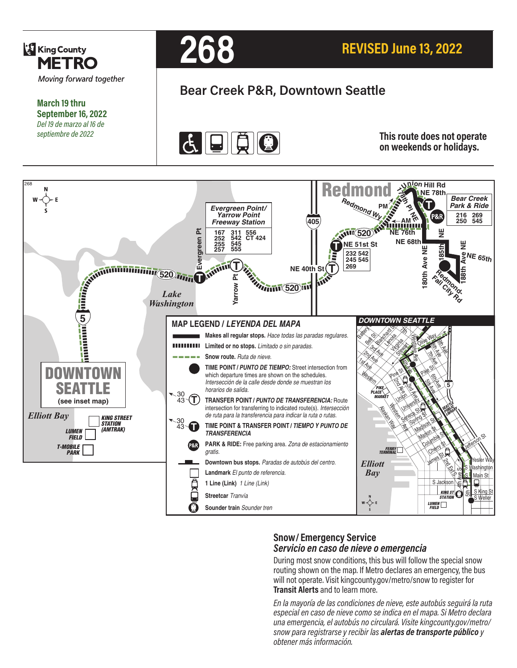

**March 19 thru September 16, 2022** *Del 19 de marzo al 16 de septiembre de 2022*



# **Bear Creek P&R, Downtown Seattle**



**This route does not operate on weekends or holidays.**



## **Snow/ Emergency Service**  *Servicio en caso de nieve o emergencia*

During most snow conditions, this bus will follow the special snow routing shown on the map. If Metro declares an emergency, the bus will not operate. Visit kingcounty.gov/metro/snow to register for **Transit Alerts** and to learn more.

*En la mayoría de las condiciones de nieve, este autobús seguirá la ruta especial en caso de nieve como se indica en el mapa. Si Metro declara una emergencia, el autobús no circulará. Visite kingcounty.gov/metro/ snow para registrarse y recibir las alertas de transporte público y obtener más información.*